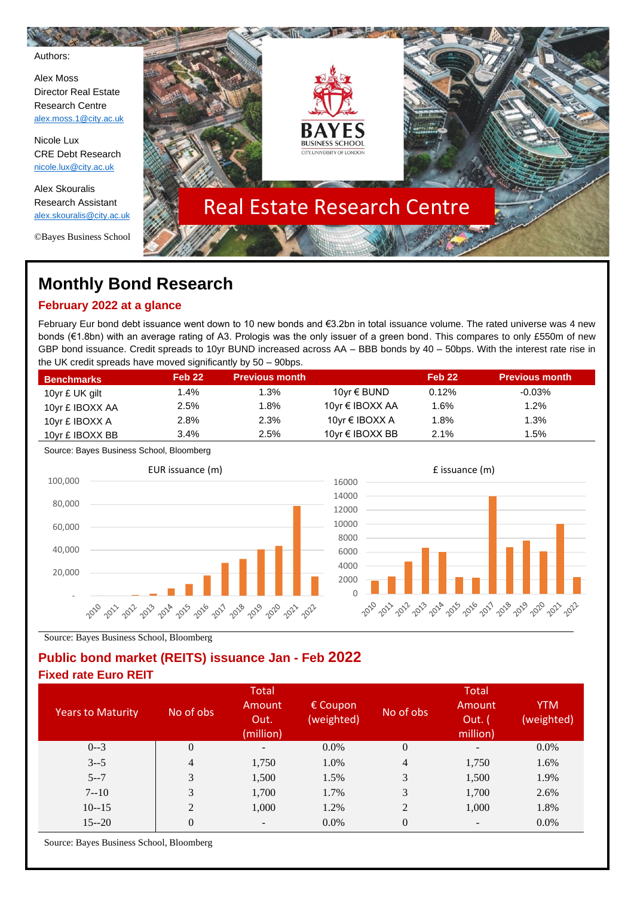Authors:

Alex Moss Director Real Estate Research Centre [alex.moss.1@city.ac.uk](mailto:alex.moss.1@city.ac.uk)

Nicole Lux CRE Debt Research [nicole.lux@city.ac.uk](mailto:nicole.lux@city.ac.uk)

Alex Skouralis Research Assistant [alex.skouralis@city.ac.uk](mailto:alex.skouralis@city.ac.uk)

©Bayes Business School



# **Monthly Bond Research**

### **February 2022 at a glance**

February Eur bond debt issuance went down to 10 new bonds and €3.2bn in total issuance volume. The rated universe was 4 new bonds (€1.8bn) with an average rating of A3. Prologis was the only issuer of a green bond. This compares to only £550m of new GBP bond issuance. Credit spreads to 10yr BUND increased across AA – BBB bonds by 40 – 50bps. With the interest rate rise in the UK credit spreads have moved significantly by 50 – 90bps.

| <b>Benchmarks</b> | Feb <sub>22</sub> | <b>Previous month</b> |                      | Feb <sub>22</sub> | <b>Previous month</b> |
|-------------------|-------------------|-----------------------|----------------------|-------------------|-----------------------|
| 10yr £ UK gilt    | 1.4%              | 1.3%                  | 10yr € BUND          | 0.12%             | $-0.03\%$             |
| 10yr £ IBOXX AA   | 2.5%              | 1.8%                  | 10yr € IBOXX AA      | 1.6%              | 1.2%                  |
| 10yr £ IBOXX A    | 2.8%              | 2.3%                  | 10yr € IBOXX A       | 1.8%              | 1.3%                  |
| 10yr £ IBOXX BB   | 3.4%              | 2.5%                  | 10 $vr \in$ IBOXX BB | 2.1%              | 1.5%                  |

Source: Bayes Business School, Bloomberg





Source: Bayes Business School, Bloomberg

#### **Public bond market (REITS) issuance Jan - Feb 2022 Fixed rate Euro REIT**

| <b>Years to Maturity</b> | No of obs      | Total<br>Amount<br>Out.<br>(million) | $\epsilon$ Coupon<br>(weighted) | No of obs        | Total<br>Amount<br>Out. (<br>million) | <b>YTM</b><br>(weighted) |
|--------------------------|----------------|--------------------------------------|---------------------------------|------------------|---------------------------------------|--------------------------|
| $0 - 3$                  | $\theta$       | $\overline{\phantom{a}}$             | $0.0\%$                         | $\boldsymbol{0}$ | -                                     | $0.0\%$                  |
| $3 - 5$                  | 4              | 1,750                                | 1.0%                            | 4                | 1,750                                 | 1.6%                     |
| $5 - 7$                  | 3              | 1,500                                | 1.5%                            | 3                | 1,500                                 | 1.9%                     |
| $7 - 10$                 | 3              | 1,700                                | 1.7%                            | 3                | 1,700                                 | 2.6%                     |
| $10 - 15$                | $\overline{2}$ | 1,000                                | 1.2%                            | $\overline{2}$   | 1,000                                 | 1.8%                     |
| $15 - 20$                | $\Omega$       |                                      | $0.0\%$                         | $\overline{0}$   |                                       | 0.0%                     |

Source: Bayes Business School, Bloomberg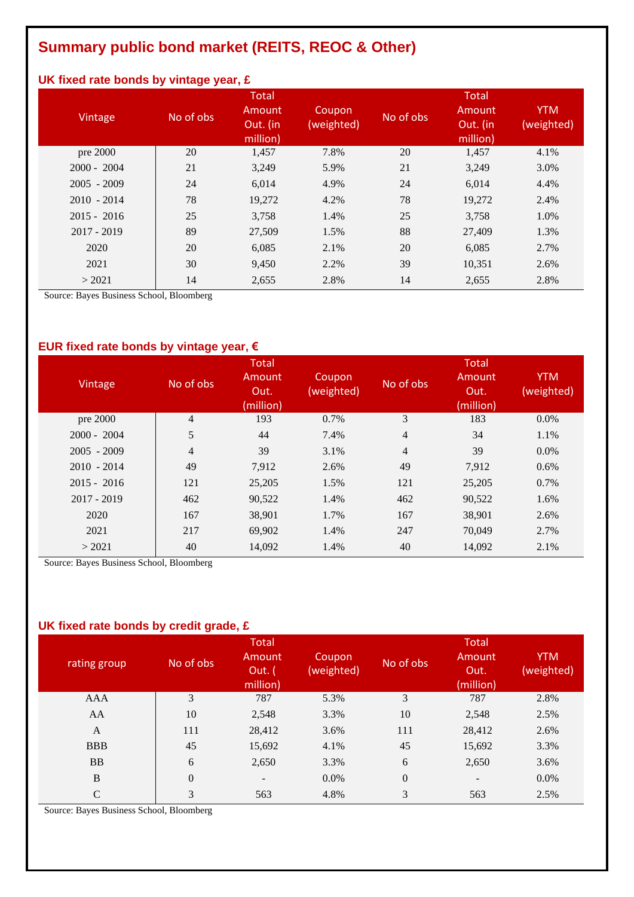## **Summary public bond market (REITS, REOC & Other)**

### **UK fixed rate bonds by vintage year, £**

| Vintage       | No of obs | <b>Total</b><br>Amount<br>Out. (in<br>million) | Coupon<br>(weighted) | No of obs | Total<br>Amount<br>Out. (in<br>million) | <b>YTM</b><br>(weighted) |
|---------------|-----------|------------------------------------------------|----------------------|-----------|-----------------------------------------|--------------------------|
| pre 2000      | 20        | 1,457                                          | 7.8%                 | 20        | 1,457                                   | 4.1%                     |
| $2000 - 2004$ | 21        | 3,249                                          | 5.9%                 | 21        | 3,249                                   | 3.0%                     |
| $2005 - 2009$ | 24        | 6,014                                          | 4.9%                 | 24        | 6,014                                   | 4.4%                     |
| $2010 - 2014$ | 78        | 19,272                                         | 4.2%                 | 78        | 19,272                                  | 2.4%                     |
| $2015 - 2016$ | 25        | 3,758                                          | 1.4%                 | 25        | 3,758                                   | 1.0%                     |
| $2017 - 2019$ | 89        | 27,509                                         | 1.5%                 | 88        | 27,409                                  | 1.3%                     |
| 2020          | 20        | 6,085                                          | 2.1%                 | 20        | 6,085                                   | 2.7%                     |
| 2021          | 30        | 9,450                                          | 2.2%                 | 39        | 10,351                                  | 2.6%                     |
| > 2021        | 14        | 2,655                                          | 2.8%                 | 14        | 2,655                                   | 2.8%                     |

Source: Bayes Business School, Bloomberg

## **EUR fixed rate bonds by vintage year, €**

| Vintage       | No of obs      | <b>Total</b><br>Amount<br>Out.<br>(million) | Coupon<br>(weighted) | No of obs      | Total<br>Amount<br>Out.<br>(million) | <b>YTM</b><br>(weighted) |
|---------------|----------------|---------------------------------------------|----------------------|----------------|--------------------------------------|--------------------------|
| pre 2000      | $\overline{4}$ | 193                                         | 0.7%                 | 3              | 183                                  | $0.0\%$                  |
| $2000 - 2004$ | 5              | 44                                          | 7.4%                 | $\overline{4}$ | 34                                   | 1.1%                     |
| $2005 - 2009$ | 4              | 39                                          | 3.1%                 | $\overline{4}$ | 39                                   | $0.0\%$                  |
| $2010 - 2014$ | 49             | 7,912                                       | 2.6%                 | 49             | 7.912                                | 0.6%                     |
| $2015 - 2016$ | 121            | 25,205                                      | 1.5%                 | 121            | 25,205                               | 0.7%                     |
| $2017 - 2019$ | 462            | 90,522                                      | 1.4%                 | 462            | 90,522                               | 1.6%                     |
| 2020          | 167            | 38,901                                      | 1.7%                 | 167            | 38,901                               | 2.6%                     |
| 2021          | 217            | 69,902                                      | 1.4%                 | 247            | 70,049                               | 2.7%                     |
| > 2021        | 40             | 14,092                                      | 1.4%                 | 40             | 14,092                               | 2.1%                     |

Source: Bayes Business School, Bloomberg

#### **UK fixed rate bonds by credit grade, £**

| rating group | No of obs      | <b>Total</b><br>Amount<br>Out. (<br>million) | Coupon<br>(weighted) | No of obs        | <b>Total</b><br>Amount<br>Out.<br>(million) | <b>YTM</b><br>(weighted) |
|--------------|----------------|----------------------------------------------|----------------------|------------------|---------------------------------------------|--------------------------|
| AAA          | 3              | 787                                          | 5.3%                 | 3                | 787                                         | 2.8%                     |
| AA           | 10             | 2,548                                        | 3.3%                 | 10               | 2,548                                       | 2.5%                     |
| $\mathbf{A}$ | 111            | 28,412                                       | 3.6%                 | 111              | 28,412                                      | 2.6%                     |
| <b>BBB</b>   | 45             | 15,692                                       | 4.1%                 | 45               | 15,692                                      | 3.3%                     |
| <b>BB</b>    | 6              | 2,650                                        | 3.3%                 | 6                | 2,650                                       | 3.6%                     |
| B            | $\overline{0}$ | $\overline{\phantom{a}}$                     | $0.0\%$              | $\boldsymbol{0}$ | $\overline{\phantom{a}}$                    | 0.0%                     |
| C            | 3              | 563                                          | 4.8%                 | 3                | 563                                         | 2.5%                     |

Source: Bayes Business School, Bloomberg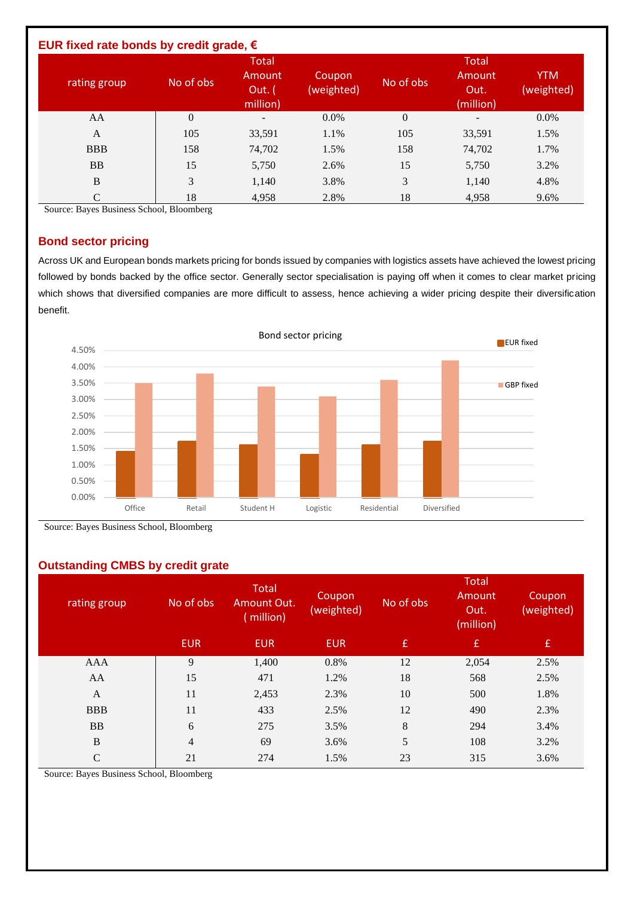| EUR fixed rate bonds by credit grade, $\epsilon$ |                |                                              |                      |                |                                             |                          |
|--------------------------------------------------|----------------|----------------------------------------------|----------------------|----------------|---------------------------------------------|--------------------------|
| rating group                                     | No of obs      | <b>Total</b><br>Amount<br>Out. (<br>million) | Coupon<br>(weighted) | No of obs      | <b>Total</b><br>Amount<br>Out.<br>(million) | <b>YTM</b><br>(weighted) |
| AA                                               | $\overline{0}$ | $\overline{\phantom{0}}$                     | $0.0\%$              | $\overline{0}$ | -                                           | $0.0\%$                  |
| $\mathbf{A}$                                     | 105            | 33,591                                       | 1.1%                 | 105            | 33,591                                      | 1.5%                     |
| <b>BBB</b>                                       | 158            | 74,702                                       | 1.5%                 | 158            | 74,702                                      | 1.7%                     |
| <b>BB</b>                                        | 15             | 5,750                                        | 2.6%                 | 15             | 5,750                                       | 3.2%                     |
| B                                                | 3              | 1,140                                        | 3.8%                 | 3              | 1,140                                       | 4.8%                     |
| C                                                | 18             | 4,958                                        | 2.8%                 | 18             | 4,958                                       | 9.6%                     |

Source: Bayes Business School, Bloomberg

#### **Bond sector pricing**

Across UK and European bonds markets pricing for bonds issued by companies with logistics assets have achieved the lowest pricing followed by bonds backed by the office sector. Generally sector specialisation is paying off when it comes to clear market pricing which shows that diversified companies are more difficult to assess, hence achieving a wider pricing despite their diversification benefit.



Source: Bayes Business School, Bloomberg

#### **Outstanding CMBS by credit grate**

| rating group | No of obs      | Total<br>Amount Out.<br>(million) | Coupon<br>(weighted) | No of obs | <b>Total</b><br>Amount<br>Out.<br>(million) | Coupon<br>(weighted) |
|--------------|----------------|-----------------------------------|----------------------|-----------|---------------------------------------------|----------------------|
|              | <b>EUR</b>     | <b>EUR</b>                        | <b>EUR</b>           | E,        | f                                           | $\mathbf{f}$         |
| AAA          | 9              | 1,400                             | 0.8%                 | 12        | 2,054                                       | 2.5%                 |
| AA           | 15             | 471                               | 1.2%                 | 18        | 568                                         | 2.5%                 |
| A            | 11             | 2,453                             | 2.3%                 | 10        | 500                                         | 1.8%                 |
| <b>BBB</b>   | 11             | 433                               | 2.5%                 | 12        | 490                                         | 2.3%                 |
| <b>BB</b>    | 6              | 275                               | 3.5%                 | 8         | 294                                         | 3.4%                 |
| $\, {\bf B}$ | $\overline{4}$ | 69                                | 3.6%                 | 5         | 108                                         | 3.2%                 |
| $\mathsf{C}$ | 21             | 274                               | 1.5%                 | 23        | 315                                         | 3.6%                 |
|              |                |                                   |                      |           |                                             |                      |

Source: Bayes Business School, Bloomberg